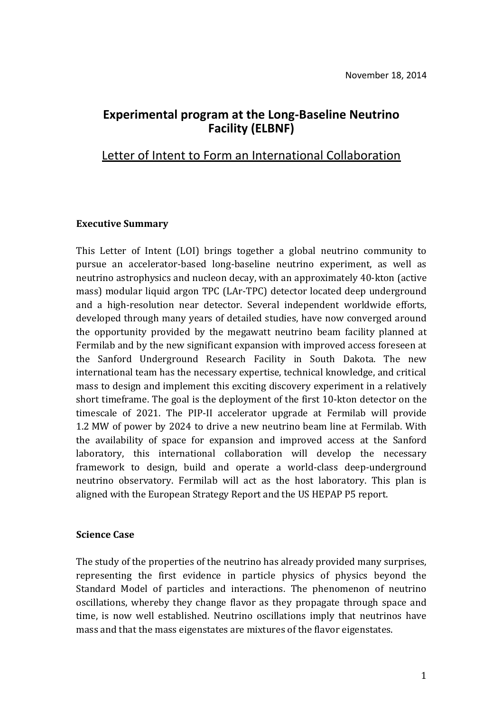# **Experimental program at the Long-Baseline Neutrino Facility (ELBNF)**

# Letter of Intent to Form an International Collaboration

### **Executive Summary**

This Letter of Intent (LOI) brings together a global neutrino community to pursue an accelerator-based long-baseline neutrino experiment, as well as neutrino astrophysics and nucleon decay, with an approximately 40-kton (active mass) modular liquid argon TPC (LAr-TPC) detector located deep underground and a high-resolution near detector. Several independent worldwide efforts, developed through many years of detailed studies, have now converged around the opportunity provided by the megawatt neutrino beam facility planned at Fermilab and by the new significant expansion with improved access foreseen at the Sanford Underground Research Facility in South Dakota. The new international team has the necessary expertise, technical knowledge, and critical mass to design and implement this exciting discovery experiment in a relatively short timeframe. The goal is the deployment of the first 10-kton detector on the timescale of 2021. The PIP-II accelerator upgrade at Fermilab will provide 1.2 MW of power by 2024 to drive a new neutrino beam line at Fermilab. With the availability of space for expansion and improved access at the Sanford laboratory, this international collaboration will develop the necessary framework to design, build and operate a world-class deep-underground neutrino observatory. Fermilab will act as the host laboratory. This plan is aligned with the European Strategy Report and the US HEPAP P5 report.

#### **Science Case**

The study of the properties of the neutrino has already provided many surprises, representing the first evidence in particle physics of physics beyond the Standard Model of particles and interactions. The phenomenon of neutrino oscillations, whereby they change flavor as they propagate through space and time, is now well established. Neutrino oscillations imply that neutrinos have mass and that the mass eigenstates are mixtures of the flavor eigenstates.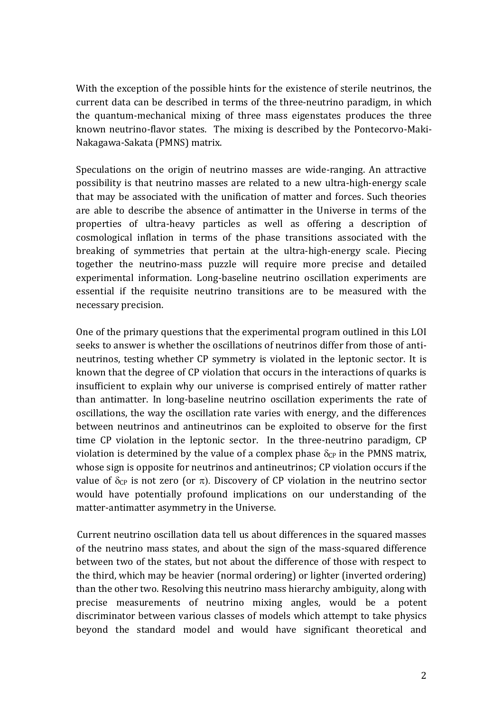With the exception of the possible hints for the existence of sterile neutrinos, the current data can be described in terms of the three-neutrino paradigm, in which the quantum-mechanical mixing of three mass eigenstates produces the three known neutrino-flavor states. The mixing is described by the Pontecorvo-Maki-Nakagawa-Sakata (PMNS) matrix.

Speculations on the origin of neutrino masses are wide-ranging. An attractive possibility is that neutrino masses are related to a new ultra-high-energy scale that may be associated with the unification of matter and forces. Such theories are able to describe the absence of antimatter in the Universe in terms of the properties of ultra-heavy particles as well as offering a description of cosmological inflation in terms of the phase transitions associated with the breaking of symmetries that pertain at the ultra-high-energy scale. Piecing together the neutrino-mass puzzle will require more precise and detailed experimental information. Long-baseline neutrino oscillation experiments are essential if the requisite neutrino transitions are to be measured with the necessary precision.

One of the primary questions that the experimental program outlined in this LOI seeks to answer is whether the oscillations of neutrinos differ from those of antineutrinos, testing whether CP symmetry is violated in the leptonic sector. It is known that the degree of CP violation that occurs in the interactions of quarks is insufficient to explain why our universe is comprised entirely of matter rather than antimatter. In long-baseline neutrino oscillation experiments the rate of oscillations, the way the oscillation rate varies with energy, and the differences between neutrinos and antineutrinos can be exploited to observe for the first time CP violation in the leptonic sector. In the three-neutrino paradigm, CP violation is determined by the value of a complex phase  $\delta_{CP}$  in the PMNS matrix, whose sign is opposite for neutrinos and antineutrinos; CP violation occurs if the value of  $\delta_{\text{CP}}$  is not zero (or  $\pi$ ). Discovery of CP violation in the neutrino sector would have potentially profound implications on our understanding of the matter-antimatter asymmetry in the Universe.

Current neutrino oscillation data tell us about differences in the squared masses of the neutrino mass states, and about the sign of the mass-squared difference between two of the states, but not about the difference of those with respect to the third, which may be heavier (normal ordering) or lighter (inverted ordering) than the other two. Resolving this neutrino mass hierarchy ambiguity, along with precise measurements of neutrino mixing angles, would be a potent discriminator between various classes of models which attempt to take physics beyond the standard model and would have significant theoretical and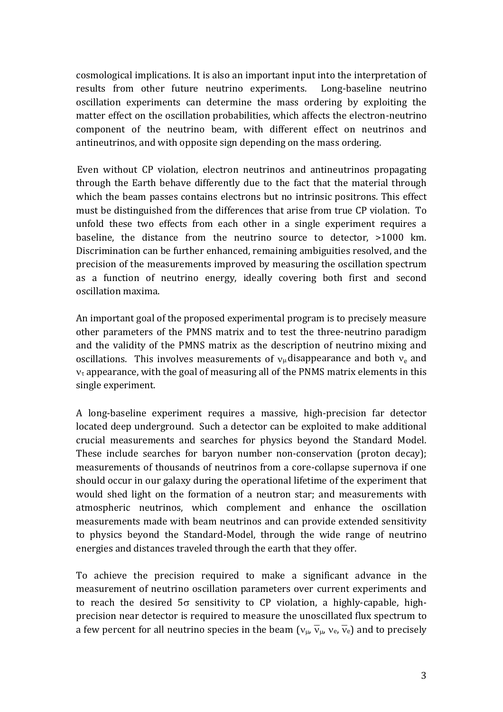cosmological implications. It is also an important input into the interpretation of results from other future neutrino experiments. Long-baseline neutrino oscillation experiments can determine the mass ordering by exploiting the matter effect on the oscillation probabilities, which affects the electron-neutrino component of the neutrino beam, with different effect on neutrinos and antineutrinos, and with opposite sign depending on the mass ordering.

Even without CP violation, electron neutrinos and antineutrinos propagating through the Earth behave differently due to the fact that the material through which the beam passes contains electrons but no intrinsic positrons. This effect must be distinguished from the differences that arise from true CP violation. To unfold these two effects from each other in a single experiment requires a baseline, the distance from the neutrino source to detector, >1000 km. Discrimination can be further enhanced, remaining ambiguities resolved, and the precision of the measurements improved by measuring the oscillation spectrum as a function of neutrino energy, ideally covering both first and second oscillation maxima.

An important goal of the proposed experimental program is to precisely measure other parameters of the PMNS matrix and to test the three-neutrino paradigm and the validity of the PMNS matrix as the description of neutrino mixing and oscillations. This involves measurements of  $v_\mu$  disappearance and both  $v_e$  and  $v<sub>\tau</sub>$  appearance, with the goal of measuring all of the PNMS matrix elements in this single experiment.

A long-baseline experiment requires a massive, high-precision far detector located deep underground. Such a detector can be exploited to make additional crucial measurements and searches for physics beyond the Standard Model. These include searches for baryon number non-conservation (proton decay); measurements of thousands of neutrinos from a core-collapse supernova if one should occur in our galaxy during the operational lifetime of the experiment that would shed light on the formation of a neutron star; and measurements with atmospheric neutrinos, which complement and enhance the oscillation measurements made with beam neutrinos and can provide extended sensitivity to physics beyond the Standard-Model, through the wide range of neutrino energies and distances traveled through the earth that they offer.

To achieve the precision required to make a significant advance in the measurement of neutrino oscillation parameters over current experiments and to reach the desired  $5\sigma$  sensitivity to CP violation, a highly-capable, highprecision near detector is required to measure the unoscillated flux spectrum to a few percent for all neutrino species in the beam  $(v_{\mu}, \overline{v}_{\mu}, v_{e}, \overline{v}_{e})$  and to precisely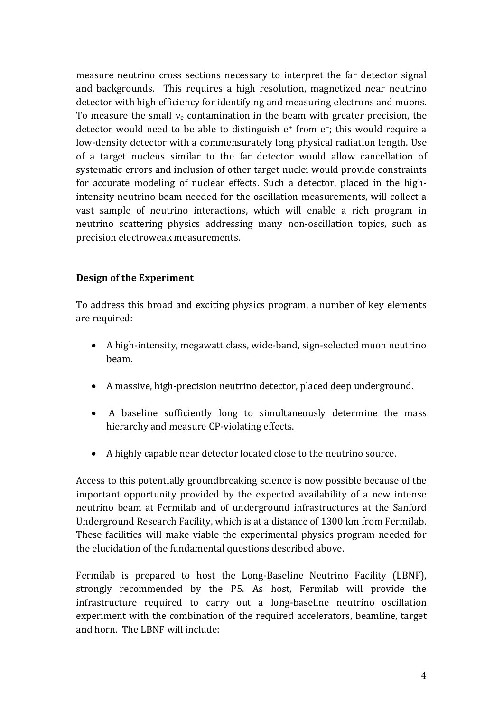measure neutrino cross sections necessary to interpret the far detector signal and backgrounds. This requires a high resolution, magnetized near neutrino detector with high efficiency for identifying and measuring electrons and muons. To measure the small  $v_e$  contamination in the beam with greater precision, the detector would need to be able to distinguish e<sup>+</sup> from e−; this would require a low-density detector with a commensurately long physical radiation length. Use of a target nucleus similar to the far detector would allow cancellation of systematic errors and inclusion of other target nuclei would provide constraints for accurate modeling of nuclear effects. Such a detector, placed in the highintensity neutrino beam needed for the oscillation measurements, will collect a vast sample of neutrino interactions, which will enable a rich program in neutrino scattering physics addressing many non-oscillation topics, such as precision electroweak measurements.

### **Design of the Experiment**

To address this broad and exciting physics program, a number of key elements are required:

- A high-intensity, megawatt class, wide-band, sign-selected muon neutrino beam.
- A massive, high-precision neutrino detector, placed deep underground.
- A baseline sufficiently long to simultaneously determine the mass hierarchy and measure CP-violating effects.
- A highly capable near detector located close to the neutrino source.

Access to this potentially groundbreaking science is now possible because of the important opportunity provided by the expected availability of a new intense neutrino beam at Fermilab and of underground infrastructures at the Sanford Underground Research Facility, which is at a distance of 1300 km from Fermilab. These facilities will make viable the experimental physics program needed for the elucidation of the fundamental questions described above.

Fermilab is prepared to host the Long-Baseline Neutrino Facility (LBNF), strongly recommended by the P5. As host, Fermilab will provide the infrastructure required to carry out a long-baseline neutrino oscillation experiment with the combination of the required accelerators, beamline, target and horn. The LBNF will include: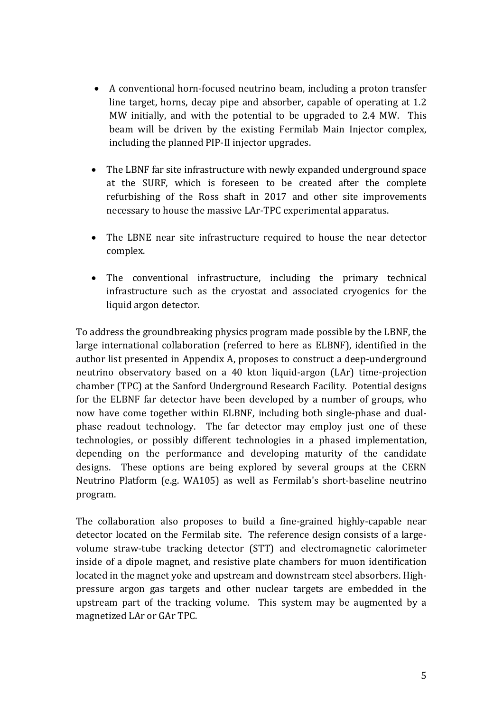- A conventional horn-focused neutrino beam, including a proton transfer line target, horns, decay pipe and absorber, capable of operating at 1.2 MW initially, and with the potential to be upgraded to 2.4 MW. This beam will be driven by the existing Fermilab Main Injector complex, including the planned PIP-II injector upgrades.
- The LBNF far site infrastructure with newly expanded underground space at the SURF, which is foreseen to be created after the complete refurbishing of the Ross shaft in 2017 and other site improvements necessary to house the massive LAr-TPC experimental apparatus.
- The LBNE near site infrastructure required to house the near detector complex.
- The conventional infrastructure, including the primary technical infrastructure such as the cryostat and associated cryogenics for the liquid argon detector.

To address the groundbreaking physics program made possible by the LBNF, the large international collaboration (referred to here as ELBNF), identified in the author list presented in Appendix A, proposes to construct a deep-underground neutrino observatory based on a 40 kton liquid-argon (LAr) time-projection chamber (TPC) at the Sanford Underground Research Facility. Potential designs for the ELBNF far detector have been developed by a number of groups, who now have come together within ELBNF, including both single-phase and dualphase readout technology. The far detector may employ just one of these technologies, or possibly different technologies in a phased implementation, depending on the performance and developing maturity of the candidate designs. These options are being explored by several groups at the CERN Neutrino Platform (e.g. WA105) as well as Fermilab's short-baseline neutrino program.

The collaboration also proposes to build a fine-grained highly-capable near detector located on the Fermilab site. The reference design consists of a largevolume straw-tube tracking detector (STT) and electromagnetic calorimeter inside of a dipole magnet, and resistive plate chambers for muon identification located in the magnet yoke and upstream and downstream steel absorbers. Highpressure argon gas targets and other nuclear targets are embedded in the upstream part of the tracking volume. This system may be augmented by a magnetized LAr or GAr TPC.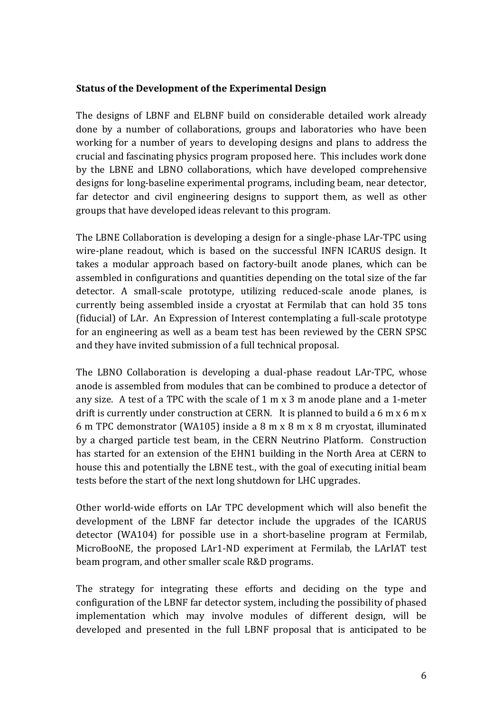#### **Status of the Development of the Experimental Design**

The designs of LBNF and ELBNF build on considerable detailed work already done by a number of collaborations, groups and laboratories who have been working for a number of years to developing designs and plans to address the crucial and fascinating physics program proposed here. This includes work done by the LBNE and LBNO collaborations, which have developed comprehensive designs for long-baseline experimental programs, including beam, near detector, far detector and civil engineering designs to support them, as well as other groups that have developed ideas relevant to this program.

The LBNE Collaboration is developing a design for a single-phase LAr-TPC using wire-plane readout, which is based on the successful INFN ICARUS design. It takes a modular approach based on factory-built anode planes, which can be assembled in configurations and quantities depending on the total size of the far detector. A small-scale prototype, utilizing reduced-scale anode planes, is currently being assembled inside a cryostat at Fermilab that can hold 35 tons (fiducial) of LAr. An Expression of Interest contemplating a full-scale prototype for an engineering as well as a beam test has been reviewed by the CERN SPSC and they have invited submission of a full technical proposal.

The LBNO Collaboration is developing a dual-phase readout LAr-TPC, whose anode is assembled from modules that can be combined to produce a detector of any size. A test of a TPC with the scale of 1 m x 3 m anode plane and a 1-meter drift is currently under construction at CERN. It is planned to build a 6 m x 6 m x 6 m TPC demonstrator (WA105) inside a 8 m x 8 m x 8 m cryostat, illuminated by a charged particle test beam, in the CERN Neutrino Platform. Construction has started for an extension of the EHN1 building in the North Area at CERN to house this and potentially the LBNE test., with the goal of executing initial beam tests before the start of the next long shutdown for LHC upgrades.

Other world-wide efforts on LAr TPC development which will also benefit the development of the LBNF far detector include the upgrades of the ICARUS detector (WA104) for possible use in a short-baseline program at Fermilab, MicroBooNE, the proposed LAr1-ND experiment at Fermilab, the LArIAT test beam program, and other smaller scale R&D programs.

The strategy for integrating these efforts and deciding on the type and configuration of the LBNF far detector system, including the possibility of phased implementation which may involve modules of different design, will be developed and presented in the full LBNF proposal that is anticipated to be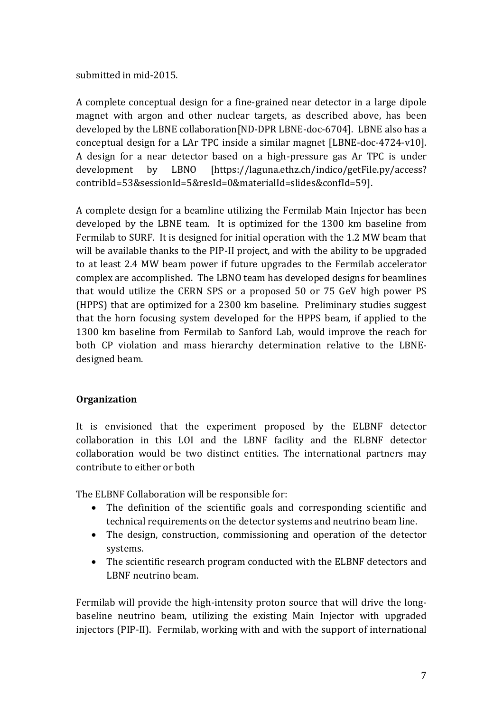### submitted in mid-2015.

A complete conceptual design for a fine-grained near detector in a large dipole magnet with argon and other nuclear targets, as described above, has been developed by the LBNE collaboration[ND-DPR LBNE-doc-6704]. LBNE also has a conceptual design for a LAr TPC inside a similar magnet [LBNE-doc-4724-v10]. A design for a near detector based on a high-pressure gas Ar TPC is under development by LBNO [https://laguna.ethz.ch/indico/getFile.py/access? contribId=53&sessionId=5&resId=0&materialId=slides&confId=59].

A complete design for a beamline utilizing the Fermilab Main Injector has been developed by the LBNE team. It is optimized for the 1300 km baseline from Fermilab to SURF. It is designed for initial operation with the 1.2 MW beam that will be available thanks to the PIP-II project, and with the ability to be upgraded to at least 2.4 MW beam power if future upgrades to the Fermilab accelerator complex are accomplished. The LBNO team has developed designs for beamlines that would utilize the CERN SPS or a proposed 50 or 75 GeV high power PS (HPPS) that are optimized for a 2300 km baseline. Preliminary studies suggest that the horn focusing system developed for the HPPS beam, if applied to the 1300 km baseline from Fermilab to Sanford Lab, would improve the reach for both CP violation and mass hierarchy determination relative to the LBNEdesigned beam.

# **Organization**

It is envisioned that the experiment proposed by the ELBNF detector collaboration in this LOI and the LBNF facility and the ELBNF detector collaboration would be two distinct entities. The international partners may contribute to either or both

The ELBNF Collaboration will be responsible for:

- The definition of the scientific goals and corresponding scientific and technical requirements on the detector systems and neutrino beam line.
- The design, construction, commissioning and operation of the detector systems.
- The scientific research program conducted with the ELBNF detectors and LBNF neutrino beam.

Fermilab will provide the high-intensity proton source that will drive the longbaseline neutrino beam, utilizing the existing Main Injector with upgraded injectors (PIP-II). Fermilab, working with and with the support of international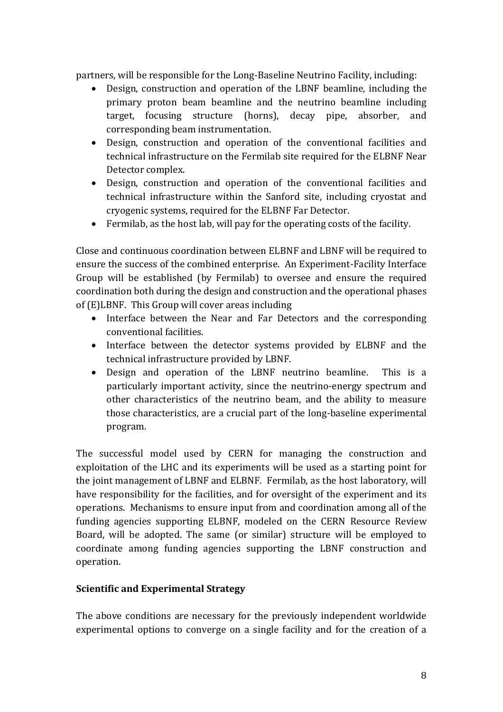partners, will be responsible for the Long-Baseline Neutrino Facility, including:

- Design, construction and operation of the LBNF beamline, including the primary proton beam beamline and the neutrino beamline including target, focusing structure (horns), decay pipe, absorber, and corresponding beam instrumentation.
- Design, construction and operation of the conventional facilities and technical infrastructure on the Fermilab site required for the ELBNF Near Detector complex.
- Design, construction and operation of the conventional facilities and technical infrastructure within the Sanford site, including cryostat and cryogenic systems, required for the ELBNF Far Detector.
- Fermilab, as the host lab, will pay for the operating costs of the facility.

Close and continuous coordination between ELBNF and LBNF will be required to ensure the success of the combined enterprise. An Experiment-Facility Interface Group will be established (by Fermilab) to oversee and ensure the required coordination both during the design and construction and the operational phases of (E)LBNF. This Group will cover areas including

- Interface between the Near and Far Detectors and the corresponding conventional facilities.
- Interface between the detector systems provided by ELBNF and the technical infrastructure provided by LBNF.
- Design and operation of the LBNF neutrino beamline. This is a particularly important activity, since the neutrino-energy spectrum and other characteristics of the neutrino beam, and the ability to measure those characteristics, are a crucial part of the long-baseline experimental program.

The successful model used by CERN for managing the construction and exploitation of the LHC and its experiments will be used as a starting point for the joint management of LBNF and ELBNF. Fermilab, as the host laboratory, will have responsibility for the facilities, and for oversight of the experiment and its operations. Mechanisms to ensure input from and coordination among all of the funding agencies supporting ELBNF, modeled on the CERN Resource Review Board, will be adopted. The same (or similar) structure will be employed to coordinate among funding agencies supporting the LBNF construction and operation.

# **Scientific and Experimental Strategy**

The above conditions are necessary for the previously independent worldwide experimental options to converge on a single facility and for the creation of a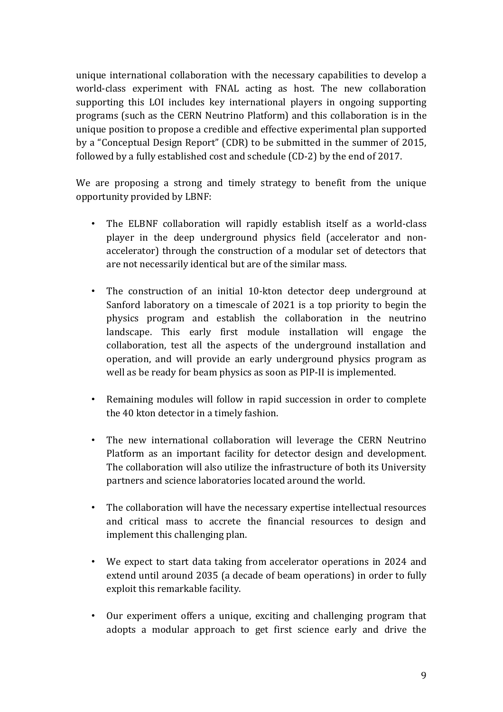unique international collaboration with the necessary capabilities to develop a world-class experiment with FNAL acting as host. The new collaboration supporting this LOI includes key international players in ongoing supporting programs (such as the CERN Neutrino Platform) and this collaboration is in the unique position to propose a credible and effective experimental plan supported by a "Conceptual Design Report" (CDR) to be submitted in the summer of 2015, followed by a fully established cost and schedule (CD-2) by the end of 2017.

We are proposing a strong and timely strategy to benefit from the unique opportunity provided by LBNF:

- The ELBNF collaboration will rapidly establish itself as a world-class player in the deep underground physics field (accelerator and nonaccelerator) through the construction of a modular set of detectors that are not necessarily identical but are of the similar mass.
- The construction of an initial 10-kton detector deep underground at Sanford laboratory on a timescale of 2021 is a top priority to begin the physics program and establish the collaboration in the neutrino landscape. This early first module installation will engage the collaboration, test all the aspects of the underground installation and operation, and will provide an early underground physics program as well as be ready for beam physics as soon as PIP-II is implemented.
- Remaining modules will follow in rapid succession in order to complete the 40 kton detector in a timely fashion.
- The new international collaboration will leverage the CERN Neutrino Platform as an important facility for detector design and development. The collaboration will also utilize the infrastructure of both its University partners and science laboratories located around the world.
- The collaboration will have the necessary expertise intellectual resources and critical mass to accrete the financial resources to design and implement this challenging plan.
- We expect to start data taking from accelerator operations in 2024 and extend until around 2035 (a decade of beam operations) in order to fully exploit this remarkable facility.
- Our experiment offers a unique, exciting and challenging program that adopts a modular approach to get first science early and drive the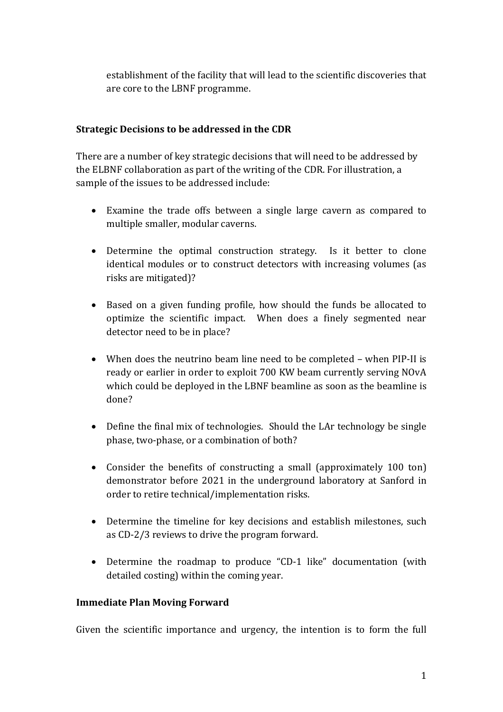establishment of the facility that will lead to the scientific discoveries that are core to the LBNF programme.

# **Strategic Decisions to be addressed in the CDR**

There are a number of key strategic decisions that will need to be addressed by the ELBNF collaboration as part of the writing of the CDR. For illustration, a sample of the issues to be addressed include:

- Examine the trade offs between a single large cavern as compared to multiple smaller, modular caverns.
- Determine the optimal construction strategy. Is it better to clone identical modules or to construct detectors with increasing volumes (as risks are mitigated)?
- Based on a given funding profile, how should the funds be allocated to optimize the scientific impact. When does a finely segmented near detector need to be in place?
- When does the neutrino beam line need to be completed when PIP-II is ready or earlier in order to exploit 700 KW beam currently serving NOvA which could be deployed in the LBNF beamline as soon as the beamline is done?
- Define the final mix of technologies. Should the LAr technology be single phase, two-phase, or a combination of both?
- Consider the benefits of constructing a small (approximately 100 ton) demonstrator before 2021 in the underground laboratory at Sanford in order to retire technical/implementation risks.
- Determine the timeline for key decisions and establish milestones, such as CD-2/3 reviews to drive the program forward.
- Determine the roadmap to produce "CD-1 like" documentation (with detailed costing) within the coming year.

# **Immediate Plan Moving Forward**

Given the scientific importance and urgency, the intention is to form the full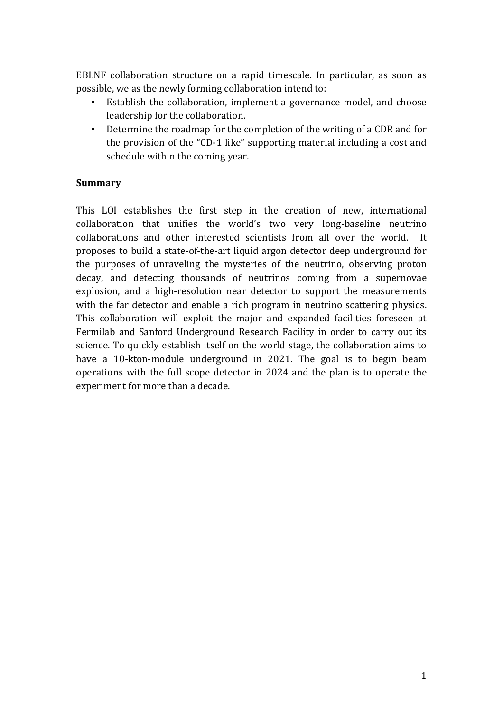EBLNF collaboration structure on a rapid timescale. In particular, as soon as possible, we as the newly forming collaboration intend to:

- Establish the collaboration, implement a governance model, and choose leadership for the collaboration.
- Determine the roadmap for the completion of the writing of a CDR and for the provision of the "CD-1 like" supporting material including a cost and schedule within the coming year.

### **Summary**

This LOI establishes the first step in the creation of new, international collaboration that unifies the world's two very long-baseline neutrino collaborations and other interested scientists from all over the world. It proposes to build a state-of-the-art liquid argon detector deep underground for the purposes of unraveling the mysteries of the neutrino, observing proton decay, and detecting thousands of neutrinos coming from a supernovae explosion, and a high-resolution near detector to support the measurements with the far detector and enable a rich program in neutrino scattering physics. This collaboration will exploit the major and expanded facilities foreseen at Fermilab and Sanford Underground Research Facility in order to carry out its science. To quickly establish itself on the world stage, the collaboration aims to have a 10-kton-module underground in 2021. The goal is to begin beam operations with the full scope detector in 2024 and the plan is to operate the experiment for more than a decade.